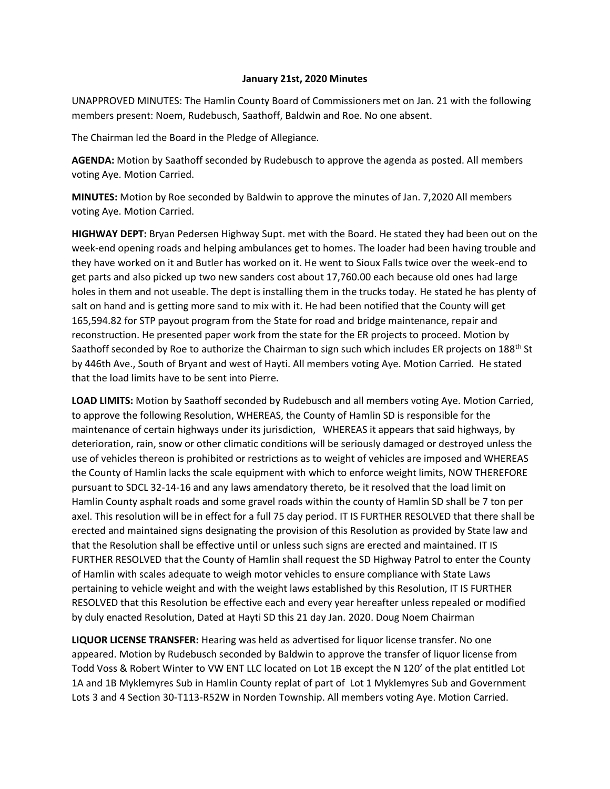## **January 21st, 2020 Minutes**

UNAPPROVED MINUTES: The Hamlin County Board of Commissioners met on Jan. 21 with the following members present: Noem, Rudebusch, Saathoff, Baldwin and Roe. No one absent.

The Chairman led the Board in the Pledge of Allegiance.

**AGENDA:** Motion by Saathoff seconded by Rudebusch to approve the agenda as posted. All members voting Aye. Motion Carried.

**MINUTES:** Motion by Roe seconded by Baldwin to approve the minutes of Jan. 7,2020 All members voting Aye. Motion Carried.

**HIGHWAY DEPT:** Bryan Pedersen Highway Supt. met with the Board. He stated they had been out on the week-end opening roads and helping ambulances get to homes. The loader had been having trouble and they have worked on it and Butler has worked on it. He went to Sioux Falls twice over the week-end to get parts and also picked up two new sanders cost about 17,760.00 each because old ones had large holes in them and not useable. The dept is installing them in the trucks today. He stated he has plenty of salt on hand and is getting more sand to mix with it. He had been notified that the County will get 165,594.82 for STP payout program from the State for road and bridge maintenance, repair and reconstruction. He presented paper work from the state for the ER projects to proceed. Motion by Saathoff seconded by Roe to authorize the Chairman to sign such which includes ER projects on 188<sup>th</sup> St by 446th Ave., South of Bryant and west of Hayti. All members voting Aye. Motion Carried. He stated that the load limits have to be sent into Pierre.

**LOAD LIMITS:** Motion by Saathoff seconded by Rudebusch and all members voting Aye. Motion Carried, to approve the following Resolution, WHEREAS, the County of Hamlin SD is responsible for the maintenance of certain highways under its jurisdiction, WHEREAS it appears that said highways, by deterioration, rain, snow or other climatic conditions will be seriously damaged or destroyed unless the use of vehicles thereon is prohibited or restrictions as to weight of vehicles are imposed and WHEREAS the County of Hamlin lacks the scale equipment with which to enforce weight limits, NOW THEREFORE pursuant to SDCL 32-14-16 and any laws amendatory thereto, be it resolved that the load limit on Hamlin County asphalt roads and some gravel roads within the county of Hamlin SD shall be 7 ton per axel. This resolution will be in effect for a full 75 day period. IT IS FURTHER RESOLVED that there shall be erected and maintained signs designating the provision of this Resolution as provided by State law and that the Resolution shall be effective until or unless such signs are erected and maintained. IT IS FURTHER RESOLVED that the County of Hamlin shall request the SD Highway Patrol to enter the County of Hamlin with scales adequate to weigh motor vehicles to ensure compliance with State Laws pertaining to vehicle weight and with the weight laws established by this Resolution, IT IS FURTHER RESOLVED that this Resolution be effective each and every year hereafter unless repealed or modified by duly enacted Resolution, Dated at Hayti SD this 21 day Jan. 2020. Doug Noem Chairman

**LIQUOR LICENSE TRANSFER:** Hearing was held as advertised for liquor license transfer. No one appeared. Motion by Rudebusch seconded by Baldwin to approve the transfer of liquor license from Todd Voss & Robert Winter to VW ENT LLC located on Lot 1B except the N 120' of the plat entitled Lot 1A and 1B Myklemyres Sub in Hamlin County replat of part of Lot 1 Myklemyres Sub and Government Lots 3 and 4 Section 30-T113-R52W in Norden Township. All members voting Aye. Motion Carried.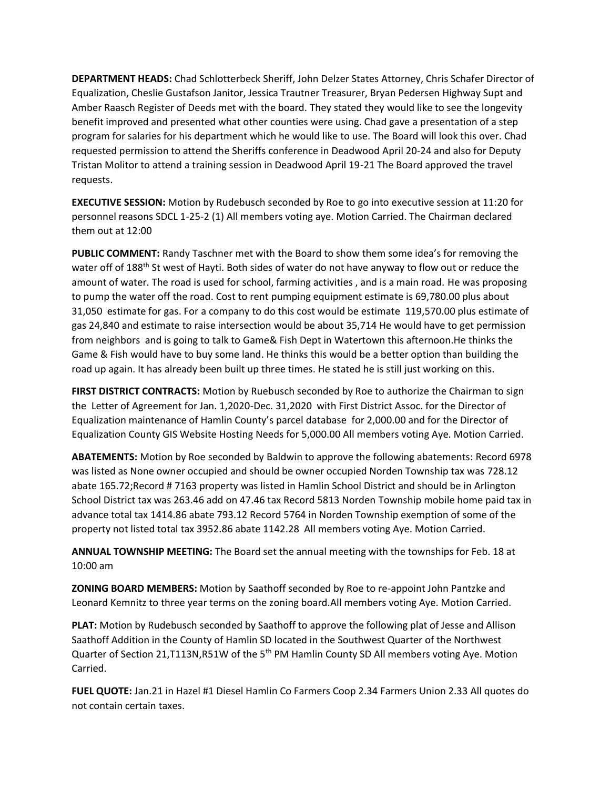**DEPARTMENT HEADS:** Chad Schlotterbeck Sheriff, John Delzer States Attorney, Chris Schafer Director of Equalization, Cheslie Gustafson Janitor, Jessica Trautner Treasurer, Bryan Pedersen Highway Supt and Amber Raasch Register of Deeds met with the board. They stated they would like to see the longevity benefit improved and presented what other counties were using. Chad gave a presentation of a step program for salaries for his department which he would like to use. The Board will look this over. Chad requested permission to attend the Sheriffs conference in Deadwood April 20-24 and also for Deputy Tristan Molitor to attend a training session in Deadwood April 19-21 The Board approved the travel requests.

**EXECUTIVE SESSION:** Motion by Rudebusch seconded by Roe to go into executive session at 11:20 for personnel reasons SDCL 1-25-2 (1) All members voting aye. Motion Carried. The Chairman declared them out at 12:00

**PUBLIC COMMENT:** Randy Taschner met with the Board to show them some idea's for removing the water off of 188<sup>th</sup> St west of Hayti. Both sides of water do not have anyway to flow out or reduce the amount of water. The road is used for school, farming activities , and is a main road. He was proposing to pump the water off the road. Cost to rent pumping equipment estimate is 69,780.00 plus about 31,050 estimate for gas. For a company to do this cost would be estimate 119,570.00 plus estimate of gas 24,840 and estimate to raise intersection would be about 35,714 He would have to get permission from neighbors and is going to talk to Game& Fish Dept in Watertown this afternoon.He thinks the Game & Fish would have to buy some land. He thinks this would be a better option than building the road up again. It has already been built up three times. He stated he is still just working on this.

**FIRST DISTRICT CONTRACTS:** Motion by Ruebusch seconded by Roe to authorize the Chairman to sign the Letter of Agreement for Jan. 1,2020-Dec. 31,2020 with First District Assoc. for the Director of Equalization maintenance of Hamlin County's parcel database for 2,000.00 and for the Director of Equalization County GIS Website Hosting Needs for 5,000.00 All members voting Aye. Motion Carried.

**ABATEMENTS:** Motion by Roe seconded by Baldwin to approve the following abatements: Record 6978 was listed as None owner occupied and should be owner occupied Norden Township tax was 728.12 abate 165.72;Record # 7163 property was listed in Hamlin School District and should be in Arlington School District tax was 263.46 add on 47.46 tax Record 5813 Norden Township mobile home paid tax in advance total tax 1414.86 abate 793.12 Record 5764 in Norden Township exemption of some of the property not listed total tax 3952.86 abate 1142.28 All members voting Aye. Motion Carried.

**ANNUAL TOWNSHIP MEETING:** The Board set the annual meeting with the townships for Feb. 18 at 10:00 am

**ZONING BOARD MEMBERS:** Motion by Saathoff seconded by Roe to re-appoint John Pantzke and Leonard Kemnitz to three year terms on the zoning board.All members voting Aye. Motion Carried.

**PLAT:** Motion by Rudebusch seconded by Saathoff to approve the following plat of Jesse and Allison Saathoff Addition in the County of Hamlin SD located in the Southwest Quarter of the Northwest Quarter of Section 21, T113N, R51W of the 5<sup>th</sup> PM Hamlin County SD All members voting Aye. Motion Carried.

**FUEL QUOTE:** Jan.21 in Hazel #1 Diesel Hamlin Co Farmers Coop 2.34 Farmers Union 2.33 All quotes do not contain certain taxes.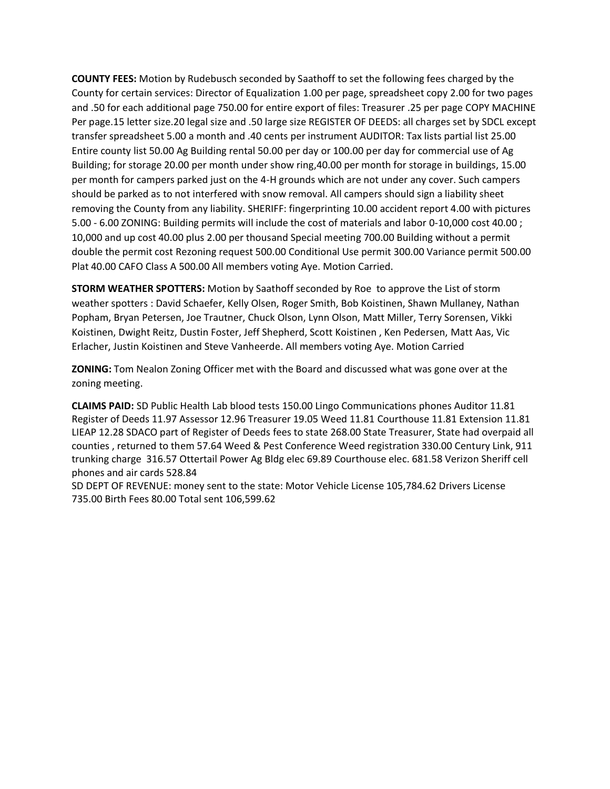**COUNTY FEES:** Motion by Rudebusch seconded by Saathoff to set the following fees charged by the County for certain services: Director of Equalization 1.00 per page, spreadsheet copy 2.00 for two pages and .50 for each additional page 750.00 for entire export of files: Treasurer .25 per page COPY MACHINE Per page.15 letter size.20 legal size and .50 large size REGISTER OF DEEDS: all charges set by SDCL except transfer spreadsheet 5.00 a month and .40 cents per instrument AUDITOR: Tax lists partial list 25.00 Entire county list 50.00 Ag Building rental 50.00 per day or 100.00 per day for commercial use of Ag Building; for storage 20.00 per month under show ring,40.00 per month for storage in buildings, 15.00 per month for campers parked just on the 4-H grounds which are not under any cover. Such campers should be parked as to not interfered with snow removal. All campers should sign a liability sheet removing the County from any liability. SHERIFF: fingerprinting 10.00 accident report 4.00 with pictures 5.00 - 6.00 ZONING: Building permits will include the cost of materials and labor 0-10,000 cost 40.00 ; 10,000 and up cost 40.00 plus 2.00 per thousand Special meeting 700.00 Building without a permit double the permit cost Rezoning request 500.00 Conditional Use permit 300.00 Variance permit 500.00 Plat 40.00 CAFO Class A 500.00 All members voting Aye. Motion Carried.

**STORM WEATHER SPOTTERS:** Motion by Saathoff seconded by Roe to approve the List of storm weather spotters : David Schaefer, Kelly Olsen, Roger Smith, Bob Koistinen, Shawn Mullaney, Nathan Popham, Bryan Petersen, Joe Trautner, Chuck Olson, Lynn Olson, Matt Miller, Terry Sorensen, Vikki Koistinen, Dwight Reitz, Dustin Foster, Jeff Shepherd, Scott Koistinen , Ken Pedersen, Matt Aas, Vic Erlacher, Justin Koistinen and Steve Vanheerde. All members voting Aye. Motion Carried

**ZONING:** Tom Nealon Zoning Officer met with the Board and discussed what was gone over at the zoning meeting.

**CLAIMS PAID:** SD Public Health Lab blood tests 150.00 Lingo Communications phones Auditor 11.81 Register of Deeds 11.97 Assessor 12.96 Treasurer 19.05 Weed 11.81 Courthouse 11.81 Extension 11.81 LIEAP 12.28 SDACO part of Register of Deeds fees to state 268.00 State Treasurer, State had overpaid all counties , returned to them 57.64 Weed & Pest Conference Weed registration 330.00 Century Link, 911 trunking charge 316.57 Ottertail Power Ag Bldg elec 69.89 Courthouse elec. 681.58 Verizon Sheriff cell phones and air cards 528.84

SD DEPT OF REVENUE: money sent to the state: Motor Vehicle License 105,784.62 Drivers License 735.00 Birth Fees 80.00 Total sent 106,599.62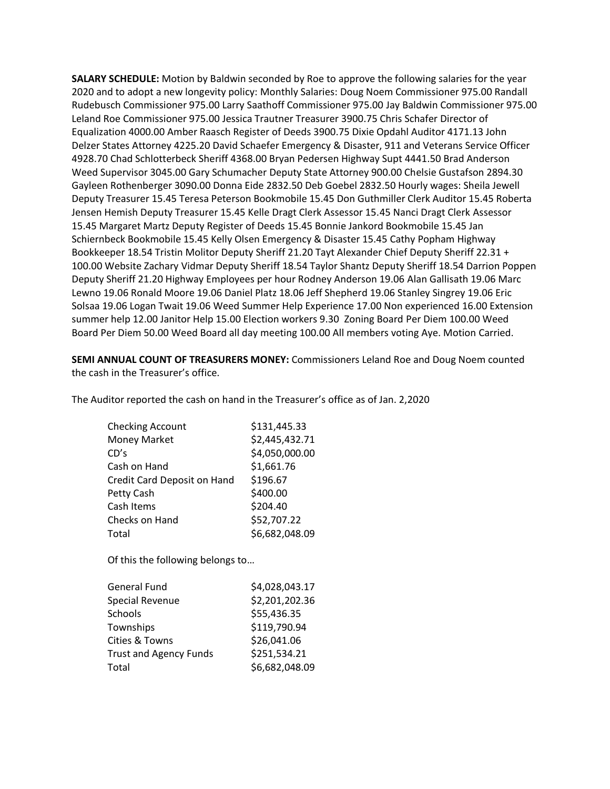**SALARY SCHEDULE:** Motion by Baldwin seconded by Roe to approve the following salaries for the year 2020 and to adopt a new longevity policy: Monthly Salaries: Doug Noem Commissioner 975.00 Randall Rudebusch Commissioner 975.00 Larry Saathoff Commissioner 975.00 Jay Baldwin Commissioner 975.00 Leland Roe Commissioner 975.00 Jessica Trautner Treasurer 3900.75 Chris Schafer Director of Equalization 4000.00 Amber Raasch Register of Deeds 3900.75 Dixie Opdahl Auditor 4171.13 John Delzer States Attorney 4225.20 David Schaefer Emergency & Disaster, 911 and Veterans Service Officer 4928.70 Chad Schlotterbeck Sheriff 4368.00 Bryan Pedersen Highway Supt 4441.50 Brad Anderson Weed Supervisor 3045.00 Gary Schumacher Deputy State Attorney 900.00 Chelsie Gustafson 2894.30 Gayleen Rothenberger 3090.00 Donna Eide 2832.50 Deb Goebel 2832.50 Hourly wages: Sheila Jewell Deputy Treasurer 15.45 Teresa Peterson Bookmobile 15.45 Don Guthmiller Clerk Auditor 15.45 Roberta Jensen Hemish Deputy Treasurer 15.45 Kelle Dragt Clerk Assessor 15.45 Nanci Dragt Clerk Assessor 15.45 Margaret Martz Deputy Register of Deeds 15.45 Bonnie Jankord Bookmobile 15.45 Jan Schiernbeck Bookmobile 15.45 Kelly Olsen Emergency & Disaster 15.45 Cathy Popham Highway Bookkeeper 18.54 Tristin Molitor Deputy Sheriff 21.20 Tayt Alexander Chief Deputy Sheriff 22.31 + 100.00 Website Zachary Vidmar Deputy Sheriff 18.54 Taylor Shantz Deputy Sheriff 18.54 Darrion Poppen Deputy Sheriff 21.20 Highway Employees per hour Rodney Anderson 19.06 Alan Gallisath 19.06 Marc Lewno 19.06 Ronald Moore 19.06 Daniel Platz 18.06 Jeff Shepherd 19.06 Stanley Singrey 19.06 Eric Solsaa 19.06 Logan Twait 19.06 Weed Summer Help Experience 17.00 Non experienced 16.00 Extension summer help 12.00 Janitor Help 15.00 Election workers 9.30 Zoning Board Per Diem 100.00 Weed Board Per Diem 50.00 Weed Board all day meeting 100.00 All members voting Aye. Motion Carried.

**SEMI ANNUAL COUNT OF TREASURERS MONEY:** Commissioners Leland Roe and Doug Noem counted the cash in the Treasurer's office.

The Auditor reported the cash on hand in the Treasurer's office as of Jan. 2,2020

| <b>Checking Account</b>     | \$131,445.33   |
|-----------------------------|----------------|
| <b>Money Market</b>         | \$2,445,432.71 |
| CD's                        | \$4,050,000.00 |
| Cash on Hand                | \$1,661.76     |
| Credit Card Deposit on Hand | \$196.67       |
| Petty Cash                  | \$400.00       |
| Cash Items                  | \$204.40       |
| Checks on Hand              | \$52,707.22    |
| Total                       | \$6,682,048.09 |
|                             |                |
|                             |                |

Of this the following belongs to…

| <b>General Fund</b>           | \$4,028,043.17 |
|-------------------------------|----------------|
| <b>Special Revenue</b>        | \$2,201,202.36 |
| Schools                       | \$55,436.35    |
| Townships                     | \$119,790.94   |
| Cities & Towns                | \$26,041.06    |
| <b>Trust and Agency Funds</b> | \$251,534.21   |
| Total                         | \$6,682,048.09 |